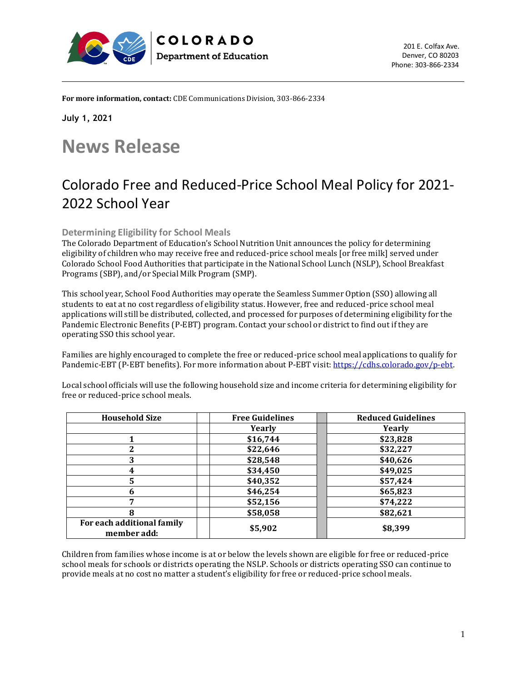



**For more information, contact:** CDE Communications Division, 303-866-2334

COLORADO

**Department of Education** 

**July 1, 2021**

## **News Release**

## Colorado Free and Reduced-Price School Meal Policy for 2021- 2022 School Year

**Determining Eligibility for School Meals** 

The Colorado Department of Education's School Nutrition Unit announces the policy for determining eligibility of children who may receive free and reduced-price school meals [or free milk] served under Colorado School Food Authorities that participate in the National School Lunch (NSLP), School Breakfast Programs (SBP), and/or Special Milk Program (SMP).

This school year, School Food Authorities may operate the Seamless Summer Option (SSO) allowing all students to eat at no cost regardless of eligibility status. However, free and reduced-price school meal applications will still be distributed, collected, and processed for purposes of determining eligibility for the Pandemic Electronic Benefits (P-EBT) program. Contact your school or district to find out if they are operating SSO this school year.

Families are highly encouraged to complete the free or reduced-price school meal applications to qualify for Pandemic-EBT (P-EBT benefits). For more information about P-EBT visit[: https://cdhs.colorado.gov/p-ebt.](https://cdhs.colorado.gov/p-ebt)

Local school officials will use the following household size and income criteria for determining eligibility for free or reduced-price school meals.

| <b>Household Size</b>                     | <b>Free Guidelines</b> | <b>Reduced Guidelines</b> |
|-------------------------------------------|------------------------|---------------------------|
|                                           | Yearly                 | Yearly                    |
|                                           | \$16,744               | \$23,828                  |
| 7                                         | \$22,646               | \$32,227                  |
| 3                                         | \$28,548               | \$40,626                  |
| 4                                         | \$34,450               | \$49,025                  |
| 5                                         | \$40,352               | \$57,424                  |
| 6                                         | \$46,254               | \$65,823                  |
| ⇁                                         | \$52,156               | \$74,222                  |
| 8                                         | \$58,058               | \$82,621                  |
| For each additional family<br>member add: | \$5,902                | \$8,399                   |

Children from families whose income is at or below the levels shown are eligible for free or reduced-price school meals for schools or districts operating the NSLP. Schools or districts operating SSO can continue to provide meals at no cost no matter a student's eligibility for free or reduced-price school meals.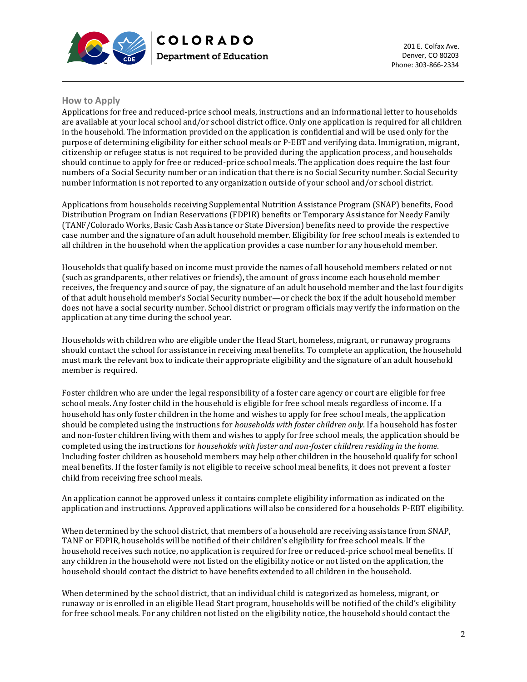



## **How to Apply**

Applications for free and reduced-price school meals, instructions and an informational letter to households are available at your local school and/or school district office. Only one application is required for all children in the household. The information provided on the application is confidential and will be used only for the purpose of determining eligibility for either school meals or P-EBT and verifying data. Immigration, migrant, citizenship or refugee status is not required to be provided during the application process, and households should continue to apply for free or reduced-price school meals. The application does require the last four numbers of a Social Security number or an indication that there is no Social Security number. Social Security number information is not reported to any organization outside of your school and/or school district.

**COLORADO** 

**Department of Education** 

Applications from households receiving Supplemental Nutrition Assistance Program (SNAP) benefits, Food Distribution Program on Indian Reservations (FDPIR) benefits or Temporary Assistance for Needy Family (TANF/Colorado Works, Basic Cash Assistance or State Diversion) benefits need to provide the respective case number and the signature of an adult household member. Eligibility for free school meals is extended to all children in the household when the application provides a case number for any household member.

Households that qualify based on income must provide the names of all household members related or not (such as grandparents, other relatives or friends), the amount of gross income each household member receives, the frequency and source of pay, the signature of an adult household member and the last four digits of that adult household member's Social Security number—or check the box if the adult household member does not have a social security number. School district or program officials may verify the information on the application at any time during the school year.

Households with children who are eligible under the Head Start, homeless, migrant, or runaway programs should contact the school for assistance in receiving meal benefits. To complete an application, the household must mark the relevant box to indicate their appropriate eligibility and the signature of an adult household member is required.

Foster children who are under the legal responsibility of a foster care agency or court are eligible for free school meals. Any foster child in the household is eligible for free school meals regardless of income. If a household has only foster children in the home and wishes to apply for free school meals, the application should be completed using the instructions for *households with foster children only*. If a household has foster and non-foster children living with them and wishes to apply for free school meals, the application should be completed using the instructions for *households with foster and non-foster children residing in the home*. Including foster children as household members may help other children in the household qualify for school meal benefits. If the foster family is not eligible to receive school meal benefits, it does not prevent a foster child from receiving free school meals.

An application cannot be approved unless it contains complete eligibility information as indicated on the application and instructions. Approved applications will also be considered for a households P-EBT eligibility.

When determined by the school district, that members of a household are receiving assistance from SNAP, TANF or FDPIR, households will be notified of their children's eligibility for free school meals. If the household receives such notice, no application is required for free or reduced-price school meal benefits. If any children in the household were not listed on the eligibility notice or not listed on the application, the household should contact the district to have benefits extended to all children in the household.

When determined by the school district, that an individual child is categorized as homeless, migrant, or runaway or is enrolled in an eligible Head Start program, households will be notified of the child's eligibility for free school meals. For any children not listed on the eligibility notice, the household should contact the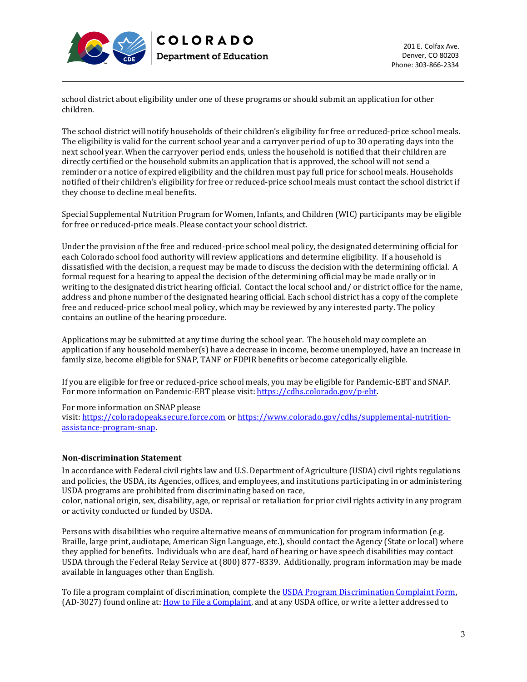



school district about eligibility under one of these programs or should submit an application for other children.

COLORADO

**Department of Education** 

The school district will notify households of their children's eligibility for free or reduced-price school meals. The eligibility is valid for the current school year and a carryover period of up to 30 operating days into the next school year. When the carryover period ends, unless the household is notified that their children are directly certified or the household submits an application that is approved, the school will not send a reminder or a notice of expired eligibility and the children must pay full price for school meals. Households notified of their children's eligibility for free or reduced-price school meals must contact the school district if they choose to decline meal benefits.

Special Supplemental Nutrition Program for Women, Infants, and Children (WIC) participants may be eligible for free or reduced-price meals. Please contact your school district.

Under the provision of the free and reduced-price school meal policy, the designated determining official for each Colorado school food authority will review applications and determine eligibility. If a household is dissatisfied with the decision, a request may be made to discuss the decision with the determining official. A formal request for a hearing to appeal the decision of the determining official may be made orally or in writing to the designated district hearing official. Contact the local school and/ or district office for the name, address and phone number of the designated hearing official. Each school district has a copy of the complete free and reduced-price school meal policy, which may be reviewed by any interested party. The policy contains an outline of the hearing procedure.

Applications may be submitted at any time during the school year. The household may complete an application if any household member(s) have a decrease in income, become unemployed, have an increase in family size, become eligible for SNAP, TANF or FDPIR benefits or become categorically eligible.

If you are eligible for free or reduced-price school meals, you may be eligible for Pandemic-EBT and SNAP. For more information on Pandemic-EBT please visit[: https://cdhs.colorado.gov/p-ebt.](https://cdhs.colorado.gov/p-ebt)

For more information on SNAP please

visit: [https://coloradopeak.secure.force.com](https://urldefense.proofpoint.com/v2/url?u=https-3A__coloradopeak.secure.force.com_-3Ffs-3Dy&d=DwMFaQ&c=sdnEM9SRGFuMt5z5w3AhsPNahmNicq64TgF1JwNR0cs&r=SyQRVIvn8gtJrhsvyCQUWffhhsviFWO2x2WViDD6tA0&m=BD8mD67XgQMQESi0WHUR-DLG8isqkpvTMnAmFY9rE5I&s=lr9LxeolPlLG4_PUeIldWhhV4qUo0JoAe4uHBOwG9Gk&e=) or [https://www.colorado.gov/cdhs/supplemental-nutrition](https://urldefense.proofpoint.com/v2/url?u=https-3A__www.colorado.gov_pacific_cdhs_supplemental-2Dnutrition-2Dassistance-2Dprogram-2Dsnap&d=DwMFaQ&c=sdnEM9SRGFuMt5z5w3AhsPNahmNicq64TgF1JwNR0cs&r=SyQRVIvn8gtJrhsvyCQUWffhhsviFWO2x2WViDD6tA0&m=BD8mD67XgQMQESi0WHUR-DLG8isqkpvTMnAmFY9rE5I&s=Of1Ywm1psPtJJ2nsX5uH3FkTHiIpMrBUCOQg0Gpc9cc&e=)[assistance-program-snap.](https://urldefense.proofpoint.com/v2/url?u=https-3A__www.colorado.gov_pacific_cdhs_supplemental-2Dnutrition-2Dassistance-2Dprogram-2Dsnap&d=DwMFaQ&c=sdnEM9SRGFuMt5z5w3AhsPNahmNicq64TgF1JwNR0cs&r=SyQRVIvn8gtJrhsvyCQUWffhhsviFWO2x2WViDD6tA0&m=BD8mD67XgQMQESi0WHUR-DLG8isqkpvTMnAmFY9rE5I&s=Of1Ywm1psPtJJ2nsX5uH3FkTHiIpMrBUCOQg0Gpc9cc&e=)

## **Non-discrimination Statement**

In accordance with Federal civil rights law and U.S. Department of Agriculture (USDA) civil rights regulations and policies, the USDA, its Agencies, offices, and employees, and institutions participating in or administering USDA programs are prohibited from discriminating based on race,

color, national origin, sex, disability, age, or reprisal or retaliation for prior civil rights activity in any program or activity conducted or funded by USDA.

Persons with disabilities who require alternative means of communication for program information (e.g. Braille, large print, audiotape, American Sign Language, etc.), should contact the Agency (State or local) where they applied for benefits. Individuals who are deaf, hard of hearing or have speech disabilities may contact USDA through the Federal Relay Service at (800) 877-8339. Additionally, program information may be made available in languages other than English.

To file a program complaint of discrimination, complete th[e USDA Program Discrimination Complaint Form,](http://www.ocio.usda.gov/sites/default/files/docs/2012/Complain_combined_6_8_12.pdf) (AD-3027) found online at[: How to File a Complaint,](http://www.ascr.usda.gov/complaint_filing_cust.html) and at any USDA office, or write a letter addressed to